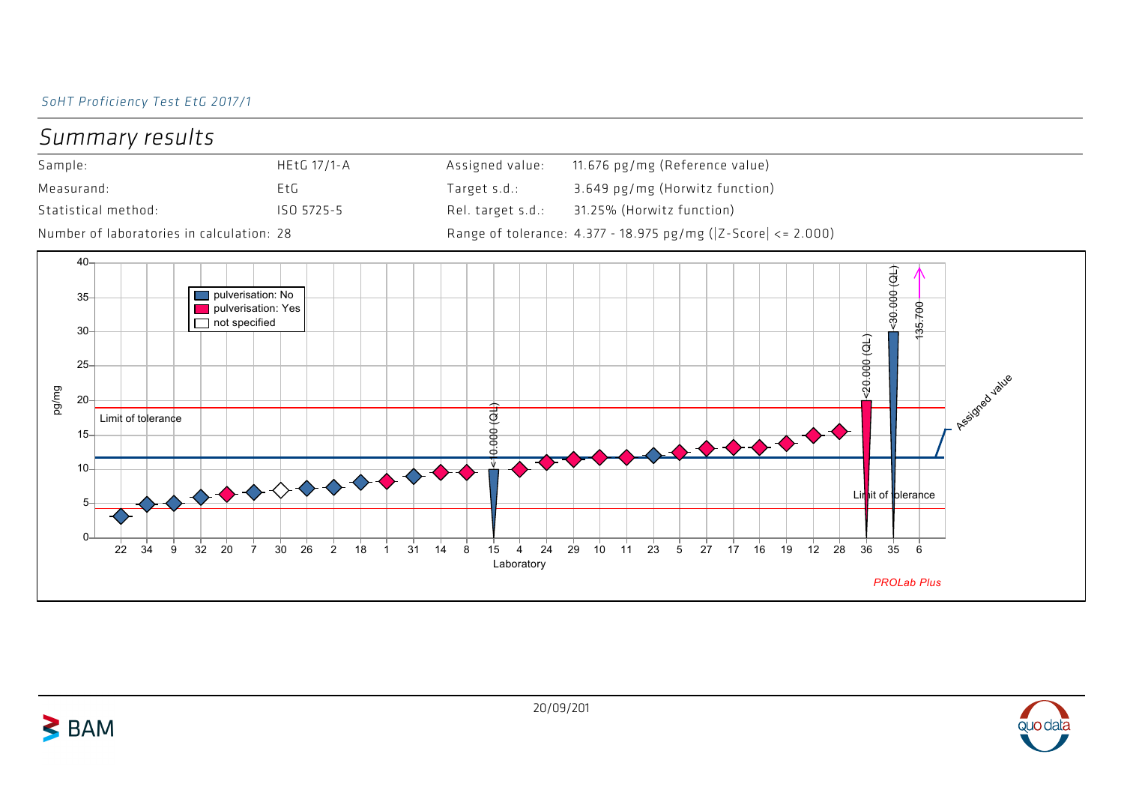## SoHT Proficiency Test EtG 2017/1





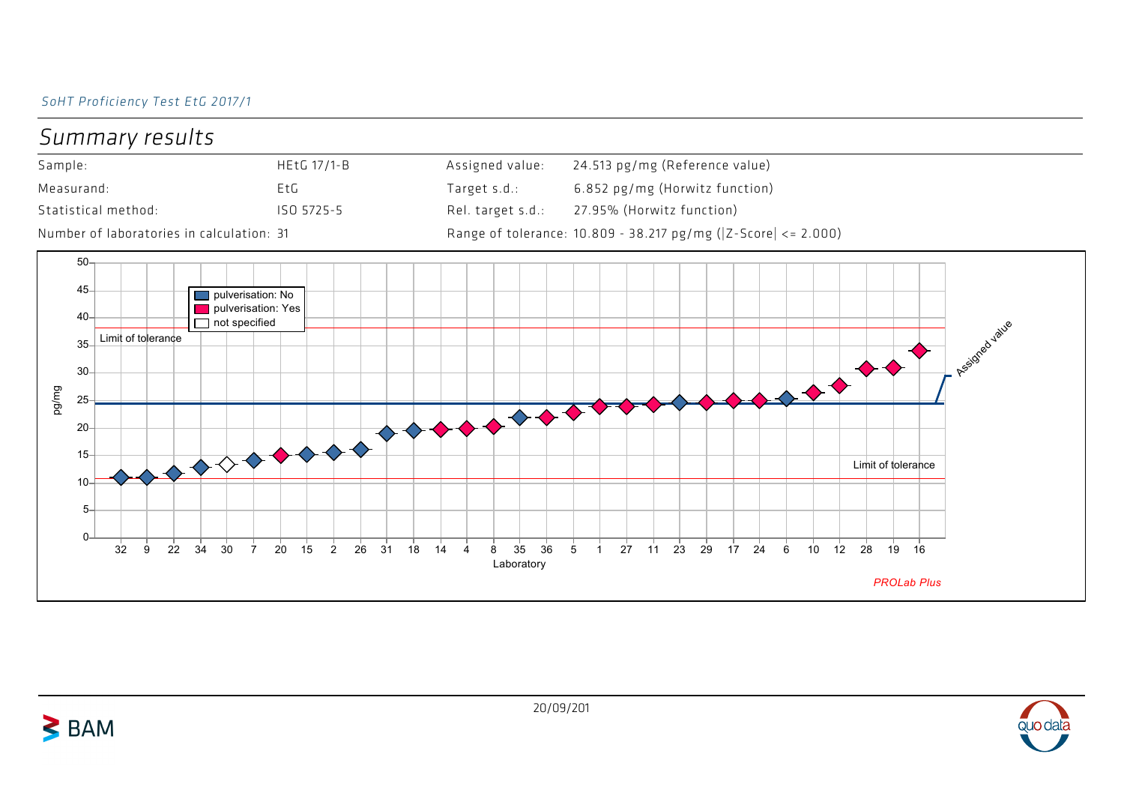## SoHT Proficiency Test EtG 2017/1





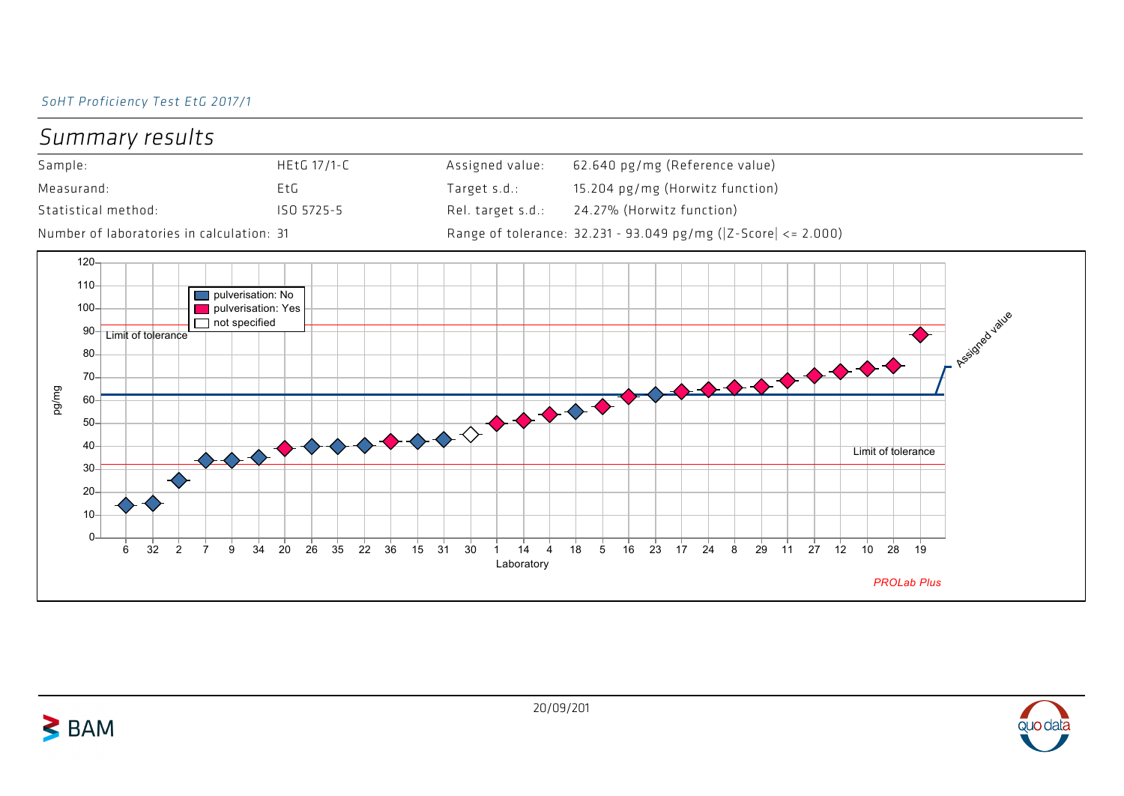## SoHT Proficiency Test EtG 2017/1



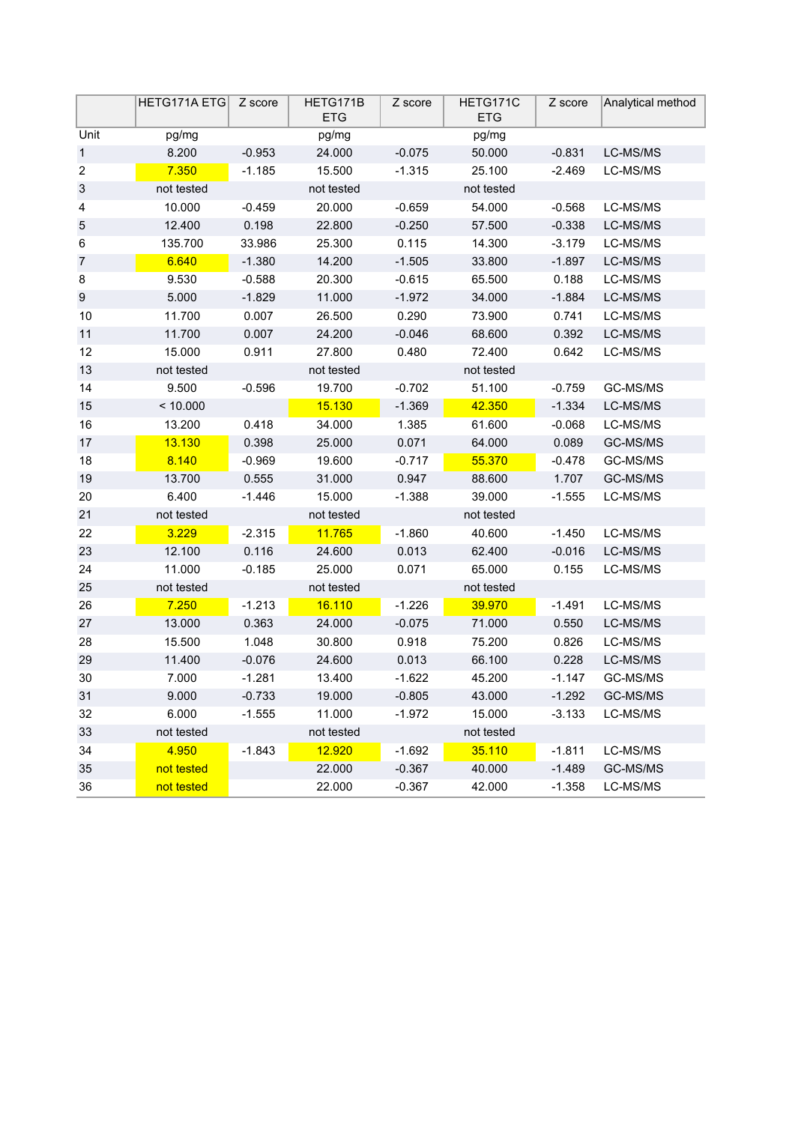|                           | HETG171A ETG   Z score |          | HETG171B<br><b>ETG</b> | Z score  | HETG171C<br><b>ETG</b> | Z score  | Analytical method |
|---------------------------|------------------------|----------|------------------------|----------|------------------------|----------|-------------------|
| Unit                      | pg/mg                  |          | pg/mg                  |          | pg/mg                  |          |                   |
| 1                         | 8.200                  | $-0.953$ | 24.000                 | $-0.075$ | 50.000                 | $-0.831$ | LC-MS/MS          |
| $\overline{\mathbf{c}}$   | 7.350                  | $-1.185$ | 15.500                 | $-1.315$ | 25.100                 | $-2.469$ | LC-MS/MS          |
| $\ensuremath{\mathsf{3}}$ | not tested             |          | not tested             |          | not tested             |          |                   |
| 4                         | 10.000                 | $-0.459$ | 20.000                 | $-0.659$ | 54.000                 | $-0.568$ | LC-MS/MS          |
| 5                         | 12.400                 | 0.198    | 22.800                 | $-0.250$ | 57.500                 | $-0.338$ | LC-MS/MS          |
| 6                         | 135.700                | 33.986   | 25.300                 | 0.115    | 14.300                 | $-3.179$ | LC-MS/MS          |
| $\overline{7}$            | 6.640                  | $-1.380$ | 14.200                 | $-1.505$ | 33.800                 | $-1.897$ | LC-MS/MS          |
| 8                         | 9.530                  | $-0.588$ | 20.300                 | $-0.615$ | 65.500                 | 0.188    | LC-MS/MS          |
| $\boldsymbol{9}$          | 5.000                  | $-1.829$ | 11.000                 | $-1.972$ | 34.000                 | $-1.884$ | LC-MS/MS          |
| 10                        | 11.700                 | 0.007    | 26.500                 | 0.290    | 73.900                 | 0.741    | LC-MS/MS          |
| 11                        | 11.700                 | 0.007    | 24.200                 | $-0.046$ | 68.600                 | 0.392    | LC-MS/MS          |
| 12                        | 15.000                 | 0.911    | 27.800                 | 0.480    | 72.400                 | 0.642    | LC-MS/MS          |
| 13                        | not tested             |          | not tested             |          | not tested             |          |                   |
| 14                        | 9.500                  | $-0.596$ | 19.700                 | $-0.702$ | 51.100                 | $-0.759$ | GC-MS/MS          |
| 15                        | < 10.000               |          | 15.130                 | $-1.369$ | 42.350                 | $-1.334$ | LC-MS/MS          |
| 16                        | 13.200                 | 0.418    | 34.000                 | 1.385    | 61.600                 | $-0.068$ | LC-MS/MS          |
| 17                        | 13.130                 | 0.398    | 25.000                 | 0.071    | 64.000                 | 0.089    | GC-MS/MS          |
| 18                        | 8.140                  | $-0.969$ | 19.600                 | $-0.717$ | 55.370                 | $-0.478$ | GC-MS/MS          |
| 19                        | 13.700                 | 0.555    | 31.000                 | 0.947    | 88.600                 | 1.707    | GC-MS/MS          |
| 20                        | 6.400                  | $-1.446$ | 15.000                 | $-1.388$ | 39.000                 | $-1.555$ | LC-MS/MS          |
| 21                        | not tested             |          | not tested             |          | not tested             |          |                   |
| 22                        | 3.229                  | $-2.315$ | 11.765                 | $-1.860$ | 40.600                 | $-1.450$ | LC-MS/MS          |
| 23                        | 12.100                 | 0.116    | 24.600                 | 0.013    | 62.400                 | $-0.016$ | LC-MS/MS          |
| 24                        | 11.000                 | $-0.185$ | 25.000                 | 0.071    | 65.000                 | 0.155    | LC-MS/MS          |
| 25                        | not tested             |          | not tested             |          | not tested             |          |                   |
| 26                        | 7.250                  | $-1.213$ | 16.110                 | $-1.226$ | 39.970                 | $-1.491$ | LC-MS/MS          |
| 27                        | 13.000                 | 0.363    | 24.000                 | $-0.075$ | 71.000                 | 0.550    | LC-MS/MS          |
| 28                        | 15.500                 | 1.048    | 30.800                 | 0.918    | 75.200                 | 0.826    | LC-MS/MS          |
| 29                        | 11.400                 | $-0.076$ | 24.600                 | 0.013    | 66.100                 | 0.228    | LC-MS/MS          |
| 30                        | 7.000                  | $-1.281$ | 13.400                 | $-1.622$ | 45.200                 | $-1.147$ | GC-MS/MS          |
| 31                        | 9.000                  | $-0.733$ | 19.000                 | $-0.805$ | 43.000                 | $-1.292$ | GC-MS/MS          |
| 32                        | 6.000                  | $-1.555$ | 11.000                 | $-1.972$ | 15.000                 | $-3.133$ | LC-MS/MS          |
| 33                        | not tested             |          | not tested             |          | not tested             |          |                   |
| 34                        | 4.950                  | $-1.843$ | 12.920                 | $-1.692$ | 35.110                 | $-1.811$ | LC-MS/MS          |
| 35                        | not tested             |          | 22.000                 | $-0.367$ | 40.000                 | $-1.489$ | GC-MS/MS          |
| 36                        | not tested             |          | 22.000                 | $-0.367$ | 42.000                 | $-1.358$ | LC-MS/MS          |